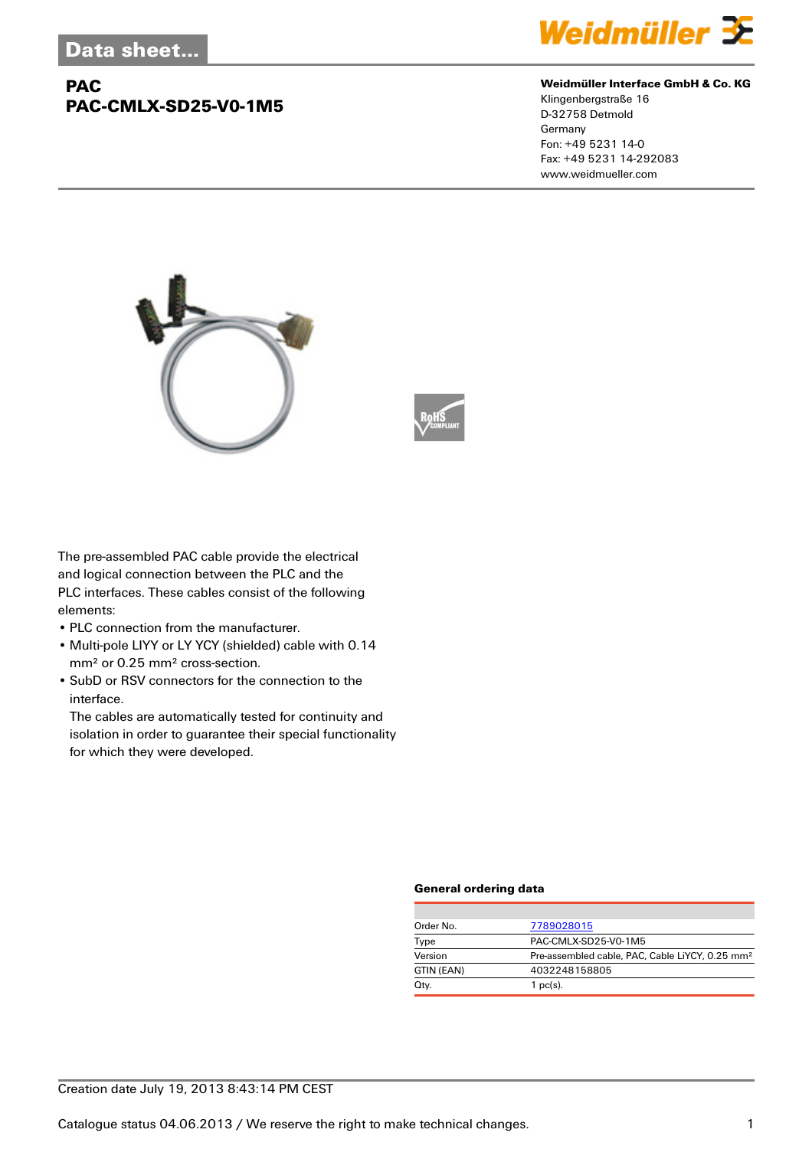## **PAC PAC-CMLX-SD25-V0-1M5**



#### **Weidmüller Interface GmbH & Co. KG**

Klingenbergstraße 16 D-32758 Detmold Germany Fon: +49 5231 14-0 Fax: +49 5231 14-292083 www.weidmueller.com





The pre-assembled PAC cable provide the electrical and logical connection between the PLC and the PLC interfaces. These cables consist of the following elements:

- PLC connection from the manufacturer.
- Multi-pole LIYY or LY YCY (shielded) cable with 0.14 mm² or 0.25 mm² cross-section.
- SubD or RSV connectors for the connection to the interface.

The cables are automatically tested for continuity and isolation in order to guarantee their special functionality for which they were developed.

#### **General ordering data**

| Order No.  | 7789028015                                                  |  |  |
|------------|-------------------------------------------------------------|--|--|
| Type       | PAC-CMLX-SD25-V0-1M5                                        |  |  |
| Version    | Pre-assembled cable, PAC, Cable LiYCY, 0.25 mm <sup>2</sup> |  |  |
| GTIN (EAN) | 4032248158805                                               |  |  |
| Qty.       | 1 $pc(s)$ .                                                 |  |  |